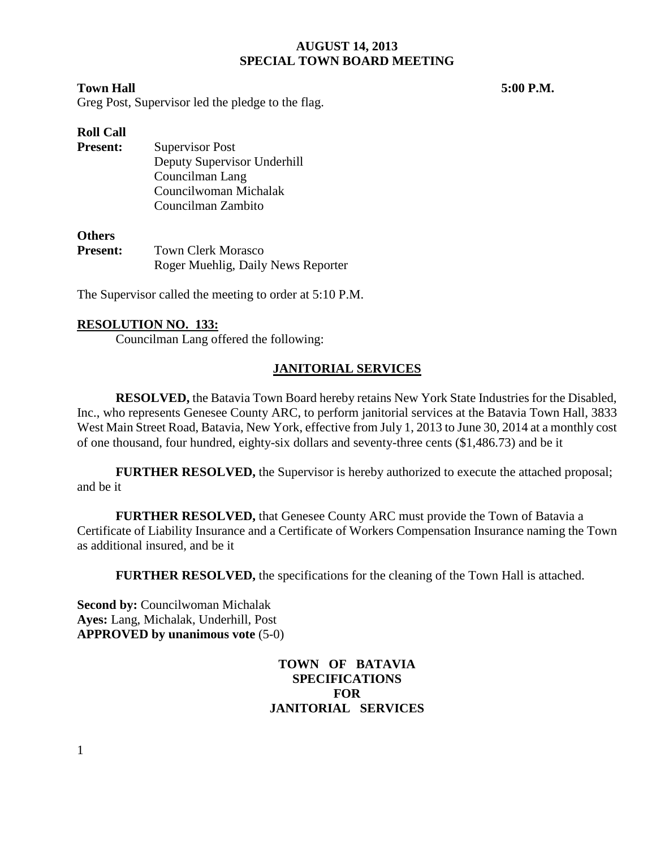#### **Town Hall 5:00 P.M.**

Greg Post, Supervisor led the pledge to the flag.

# **Roll Call**

**Present:** Supervisor Post Deputy Supervisor Underhill Councilman Lang Councilwoman Michalak Councilman Zambito

#### **Others**

**Present:** Town Clerk Morasco Roger Muehlig, Daily News Reporter

The Supervisor called the meeting to order at 5:10 P.M.

### **RESOLUTION NO. 133:**

Councilman Lang offered the following:

# **JANITORIAL SERVICES**

**RESOLVED,** the Batavia Town Board hereby retains New York State Industries for the Disabled, Inc., who represents Genesee County ARC, to perform janitorial services at the Batavia Town Hall, 3833 West Main Street Road, Batavia, New York, effective from July 1, 2013 to June 30, 2014 at a monthly cost of one thousand, four hundred, eighty-six dollars and seventy-three cents (\$1,486.73) and be it

**FURTHER RESOLVED,** the Supervisor is hereby authorized to execute the attached proposal; and be it

**FURTHER RESOLVED,** that Genesee County ARC must provide the Town of Batavia a Certificate of Liability Insurance and a Certificate of Workers Compensation Insurance naming the Town as additional insured, and be it

**FURTHER RESOLVED,** the specifications for the cleaning of the Town Hall is attached.

**Second by: Councilwoman Michalak Ayes:** Lang, Michalak, Underhill, Post **APPROVED by unanimous vote** (5-0)

# **TOWN OF BATAVIA SPECIFICATIONS FOR JANITORIAL SERVICES**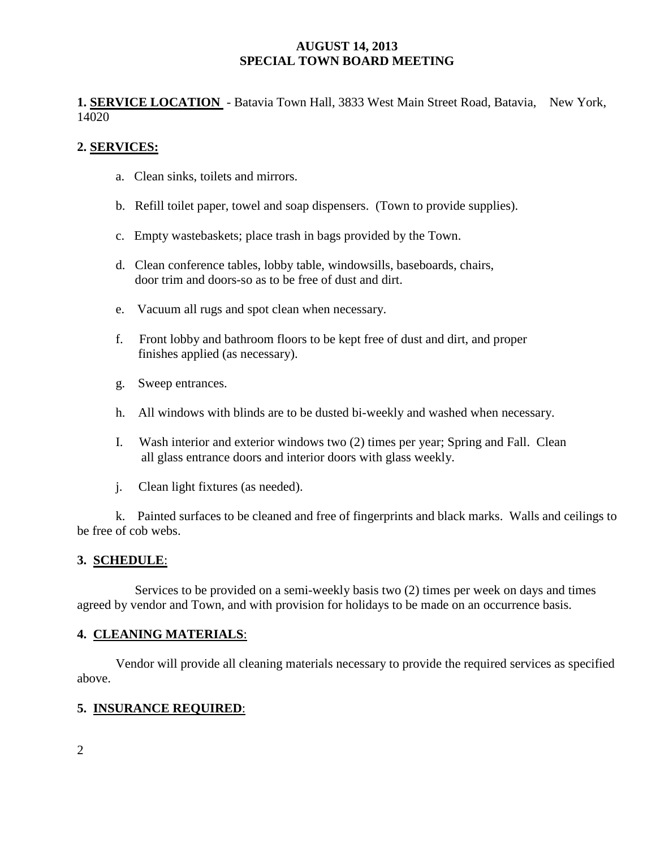**1. SERVICE LOCATION** - Batavia Town Hall, 3833 West Main Street Road, Batavia, New York, 14020

# **2. SERVICES:**

- a. Clean sinks, toilets and mirrors.
- b. Refill toilet paper, towel and soap dispensers. (Town to provide supplies).
- c. Empty wastebaskets; place trash in bags provided by the Town.
- d. Clean conference tables, lobby table, windowsills, baseboards, chairs, door trim and doors-so as to be free of dust and dirt.
- e. Vacuum all rugs and spot clean when necessary.
- f. Front lobby and bathroom floors to be kept free of dust and dirt, and proper finishes applied (as necessary).
- g. Sweep entrances.
- h. All windows with blinds are to be dusted bi-weekly and washed when necessary.
- I. Wash interior and exterior windows two (2) times per year; Spring and Fall. Clean all glass entrance doors and interior doors with glass weekly.
- j. Clean light fixtures (as needed).

k. Painted surfaces to be cleaned and free of fingerprints and black marks. Walls and ceilings to be free of cob webs.

# **3. SCHEDULE**:

 Services to be provided on a semi-weekly basis two (2) times per week on days and times agreed by vendor and Town, and with provision for holidays to be made on an occurrence basis.

### **4. CLEANING MATERIALS**:

Vendor will provide all cleaning materials necessary to provide the required services as specified above.

### **5. INSURANCE REQUIRED**: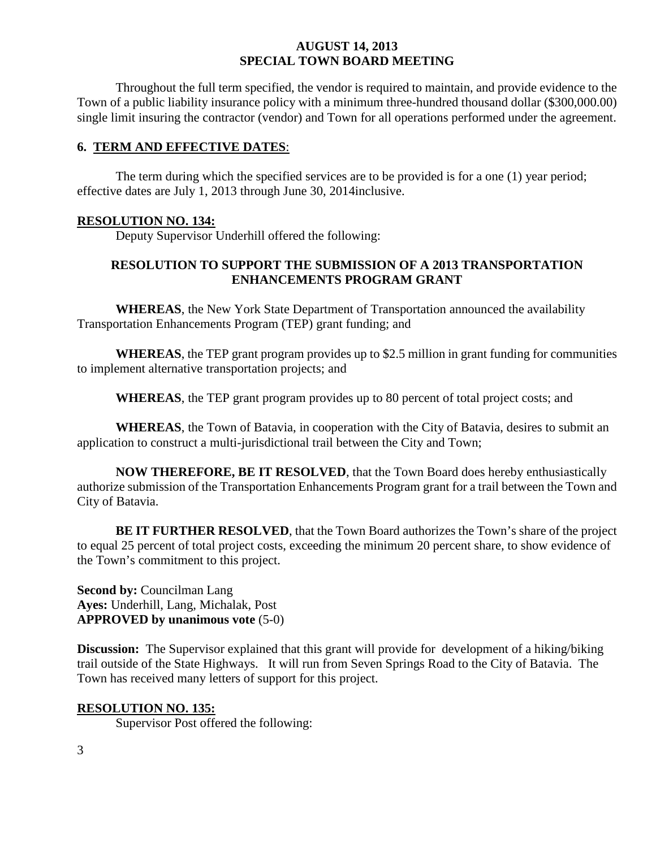Throughout the full term specified, the vendor is required to maintain, and provide evidence to the Town of a public liability insurance policy with a minimum three-hundred thousand dollar (\$300,000.00) single limit insuring the contractor (vendor) and Town for all operations performed under the agreement.

#### **6. TERM AND EFFECTIVE DATES**:

The term during which the specified services are to be provided is for a one (1) year period; effective dates are July 1, 2013 through June 30, 2014inclusive.

#### **RESOLUTION NO. 134:**

Deputy Supervisor Underhill offered the following:

# **RESOLUTION TO SUPPORT THE SUBMISSION OF A 2013 TRANSPORTATION ENHANCEMENTS PROGRAM GRANT**

**WHEREAS**, the New York State Department of Transportation announced the availability Transportation Enhancements Program (TEP) grant funding; and

**WHEREAS**, the TEP grant program provides up to \$2.5 million in grant funding for communities to implement alternative transportation projects; and

**WHEREAS**, the TEP grant program provides up to 80 percent of total project costs; and

**WHEREAS**, the Town of Batavia, in cooperation with the City of Batavia, desires to submit an application to construct a multi-jurisdictional trail between the City and Town;

**NOW THEREFORE, BE IT RESOLVED**, that the Town Board does hereby enthusiastically authorize submission of the Transportation Enhancements Program grant for a trail between the Town and City of Batavia.

**BE IT FURTHER RESOLVED**, that the Town Board authorizes the Town's share of the project to equal 25 percent of total project costs, exceeding the minimum 20 percent share, to show evidence of the Town's commitment to this project.

**Second by: Councilman Lang Ayes:** Underhill, Lang, Michalak, Post **APPROVED by unanimous vote** (5-0)

**Discussion:** The Supervisor explained that this grant will provide for development of a hiking/biking trail outside of the State Highways. It will run from Seven Springs Road to the City of Batavia. The Town has received many letters of support for this project.

# **RESOLUTION NO. 135:**

Supervisor Post offered the following: